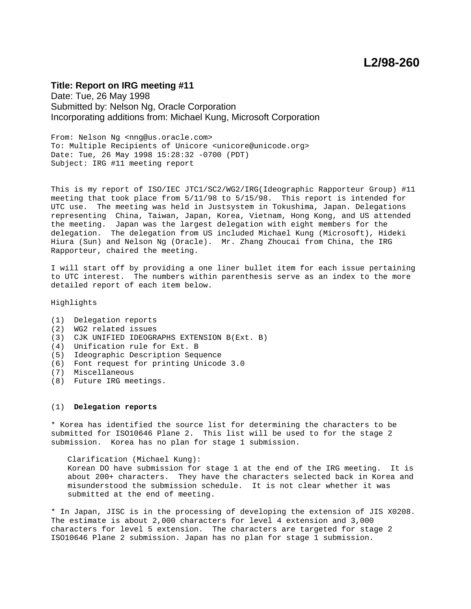# **L2/98-260**

# **Title: Report on IRG meeting #11**

Date: Tue, 26 May 1998 Submitted by: Nelson Ng, Oracle Corporation Incorporating additions from: Michael Kung, Microsoft Corporation

From: Nelson Ng <nng@us.oracle.com> To: Multiple Recipients of Unicore <unicore@unicode.org> Date: Tue, 26 May 1998 15:28:32 -0700 (PDT) Subject: IRG #11 meeting report

This is my report of ISO/IEC JTC1/SC2/WG2/IRG(Ideographic Rapporteur Group) #11 meeting that took place from 5/11/98 to 5/15/98. This report is intended for UTC use. The meeting was held in Justsystem in Tokushima, Japan. Delegations representing China, Taiwan, Japan, Korea, Vietnam, Hong Kong, and US attended the meeting. Japan was the largest delegation with eight members for the delegation. The delegation from US included Michael Kung (Microsoft), Hideki Hiura (Sun) and Nelson Ng (Oracle). Mr. Zhang Zhoucai from China, the IRG Rapporteur, chaired the meeting.

I will start off by providing a one liner bullet item for each issue pertaining to UTC interest. The numbers within parenthesis serve as an index to the more detailed report of each item below.

Highlights

- (1) Delegation reports
- (2) WG2 related issues
- (3) CJK UNIFIED IDEOGRAPHS EXTENSION B(Ext. B)
- (4) Unification rule for Ext. B
- (5) Ideographic Description Sequence
- (6) Font request for printing Unicode 3.0
- (7) Miscellaneous
- (8) Future IRG meetings.

# (1) **Delegation reports**

\* Korea has identified the source list for determining the characters to be submitted for ISO10646 Plane 2. This list will be used to for the stage 2 submission. Korea has no plan for stage 1 submission.

Clarification (Michael Kung): Korean DO have submission for stage 1 at the end of the IRG meeting. It is about 200+ characters. They have the characters selected back in Korea and misunderstood the submission schedule. It is not clear whether it was submitted at the end of meeting.

\* In Japan, JISC is in the processing of developing the extension of JIS X0208. The estimate is about 2,000 characters for level 4 extension and 3,000 characters for level 5 extension. The characters are targeted for stage 2 ISO10646 Plane 2 submission. Japan has no plan for stage 1 submission.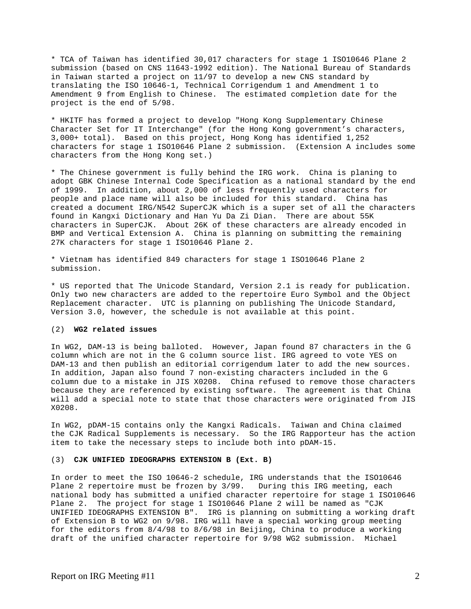\* TCA of Taiwan has identified 30,017 characters for stage 1 ISO10646 Plane 2 submission (based on CNS 11643-1992 edition). The National Bureau of Standards in Taiwan started a project on 11/97 to develop a new CNS standard by translating the ISO 10646-1, Technical Corrigendum 1 and Amendment 1 to Amendment 9 from English to Chinese. The estimated completion date for the project is the end of 5/98.

\* HKITF has formed a project to develop "Hong Kong Supplementary Chinese Character Set for IT Interchange" (for the Hong Kong government's characters, 3,000+ total). Based on this project, Hong Kong has identified 1,252 characters for stage 1 ISO10646 Plane 2 submission. (Extension A includes some characters from the Hong Kong set.)

\* The Chinese government is fully behind the IRG work. China is planing to adopt GBK Chinese Internal Code Specification as a national standard by the end of 1999. In addition, about 2,000 of less frequently used characters for people and place name will also be included for this standard. China has created a document IRG/N542 SuperCJK which is a super set of all the characters found in Kangxi Dictionary and Han Yu Da Zi Dian. There are about 55K characters in SuperCJK. About 26K of these characters are already encoded in BMP and Vertical Extension A. China is planning on submitting the remaining 27K characters for stage 1 ISO10646 Plane 2.

\* Vietnam has identified 849 characters for stage 1 ISO10646 Plane 2 submission.

\* US reported that The Unicode Standard, Version 2.1 is ready for publication. Only two new characters are added to the repertoire Euro Symbol and the Object Replacement character. UTC is planning on publishing The Unicode Standard, Version 3.0, however, the schedule is not available at this point.

# (2) **WG2 related issues**

In WG2, DAM-13 is being balloted. However, Japan found 87 characters in the G column which are not in the G column source list. IRG agreed to vote YES on DAM-13 and then publish an editorial corrigendum later to add the new sources. In addition, Japan also found 7 non-existing characters included in the G column due to a mistake in JIS X0208. China refused to remove those characters because they are referenced by existing software. The agreement is that China will add a special note to state that those characters were originated from JIS X0208.

In WG2, pDAM-15 contains only the Kangxi Radicals. Taiwan and China claimed the CJK Radical Supplements is necessary. So the IRG Rapporteur has the action item to take the necessary steps to include both into pDAM-15.

#### (3) **CJK UNIFIED IDEOGRAPHS EXTENSION B (Ext. B)**

In order to meet the ISO 10646-2 schedule, IRG understands that the ISO10646 Plane 2 repertoire must be frozen by 3/99. During this IRG meeting, each national body has submitted a unified character repertoire for stage 1 ISO10646 Plane 2. The project for stage 1 ISO10646 Plane 2 will be named as "CJK UNIFIED IDEOGRAPHS EXTENSION B". IRG is planning on submitting a working draft of Extension B to WG2 on 9/98. IRG will have a special working group meeting for the editors from 8/4/98 to 8/6/98 in Beijing, China to produce a working draft of the unified character repertoire for 9/98 WG2 submission. Michael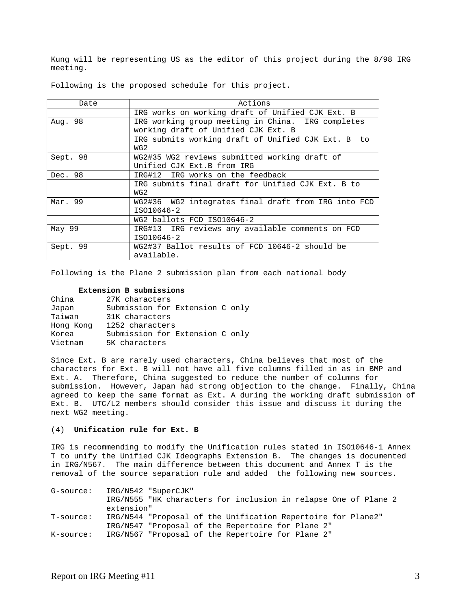Kung will be representing US as the editor of this project during the 8/98 IRG meeting.

| Date     | Actions                                                   |  |  |  |
|----------|-----------------------------------------------------------|--|--|--|
|          | IRG works on working draft of Unified CJK Ext. B          |  |  |  |
| Aug. 98  | IRG working group meeting in China. IRG completes         |  |  |  |
|          | working draft of Unified CJK Ext. B                       |  |  |  |
|          | IRG submits working draft of Unified CJK Ext. B to<br>WG2 |  |  |  |
| Sept. 98 | WG2#35 WG2 reviews submitted working draft of             |  |  |  |
|          | Unified CJK Ext.B from IRG                                |  |  |  |
| Dec. 98  | IRG#12 IRG works on the feedback                          |  |  |  |
|          | IRG submits final draft for Unified CJK Ext. B to<br>WG2  |  |  |  |
| Mar. 99  | WG2#36 WG2 integrates final draft from IRG into FCD       |  |  |  |
|          | ISO10646-2                                                |  |  |  |
|          | WG2 ballots FCD ISO10646-2                                |  |  |  |
| May 99   | IRG#13 IRG reviews any available comments on FCD          |  |  |  |
|          | ISO10646-2                                                |  |  |  |
| Sept. 99 | WG2#37 Ballot results of FCD 10646-2 should be            |  |  |  |
|          | available.                                                |  |  |  |

Following is the proposed schedule for this project.

Following is the Plane 2 submission plan from each national body

### **Extension B submissions**

| China     | 27K characters                  |
|-----------|---------------------------------|
| Japan     | Submission for Extension C only |
| Taiwan    | 31K characters                  |
| Hong Kong | 1252 characters                 |
| Korea     | Submission for Extension C only |
| Vietnam   | 5K characters                   |

Since Ext. B are rarely used characters, China believes that most of the characters for Ext. B will not have all five columns filled in as in BMP and Ext. A. Therefore, China suggested to reduce the number of columns for submission. However, Japan had strong objection to the change. Finally, China agreed to keep the same format as Ext. A during the working draft submission of Ext. B. UTC/L2 members should consider this issue and discuss it during the next WG2 meeting.

# (4) **Unification rule for Ext. B**

IRG is recommending to modify the Unification rules stated in ISO10646-1 Annex T to unify the Unified CJK Ideographs Extension B. The changes is documented in IRG/N567. The main difference between this document and Annex T is the removal of the source separation rule and added the following new sources.

G-source: IRG/N542 "SuperCJK" IRG/N555 "HK characters for inclusion in relapse One of Plane 2 extension" T-source: IRG/N544 "Proposal of the Unification Repertoire for Plane2" IRG/N547 "Proposal of the Repertoire for Plane 2" K-source: IRG/N567 "Proposal of the Repertoire for Plane 2"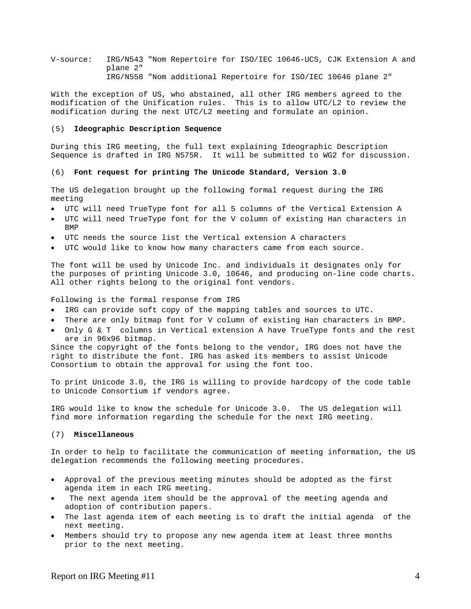V-source: IRG/N543 "Nom Repertoire for ISO/IEC 10646-UCS, CJK Extension A and plane 2" IRG/N558 "Nom additional Repertoire for ISO/IEC 10646 plane 2"

With the exception of US, who abstained, all other IRG members agreed to the modification of the Unification rules. This is to allow UTC/L2 to review the modification during the next UTC/L2 meeting and formulate an opinion.

#### (5) **Ideographic Description Sequence**

During this IRG meeting, the full text explaining Ideographic Description Sequence is drafted in IRG N575R. It will be submitted to WG2 for discussion.

#### (6) **Font request for printing The Unicode Standard, Version 3.0**

The US delegation brought up the following formal request during the IRG meeting

- UTC will need TrueType font for all 5 columns of the Vertical Extension A
- UTC will need TrueType font for the V column of existing Han characters in BMP
- UTC needs the source list the Vertical extension A characters
- UTC would like to know how many characters came from each source.

The font will be used by Unicode Inc. and individuals it designates only for the purposes of printing Unicode 3.0, 10646, and producing on-line code charts. All other rights belong to the original font vendors.

Following is the formal response from IRG

- IRG can provide soft copy of the mapping tables and sources to UTC.
- There are only bitmap font for V column of existing Han characters in BMP.
- Only G & T columns in Vertical extension A have TrueType fonts and the rest are in 96x96 bitmap.

Since the copyright of the fonts belong to the vendor, IRG does not have the right to distribute the font. IRG has asked its members to assist Unicode Consortium to obtain the approval for using the font too.

To print Unicode 3.0, the IRG is willing to provide hardcopy of the code table to Unicode Consortium if vendors agree.

IRG would like to know the schedule for Unicode 3.0. The US delegation will find more information regarding the schedule for the next IRG meeting.

# (7) **Miscellaneous**

In order to help to facilitate the communication of meeting information, the US delegation recommends the following meeting procedures.

- Approval of the previous meeting minutes should be adopted as the first agenda item in each IRG meeting.
- The next agenda item should be the approval of the meeting agenda and adoption of contribution papers.
- The last agenda item of each meeting is to draft the initial agenda of the next meeting.
- Members should try to propose any new agenda item at least three months prior to the next meeting.